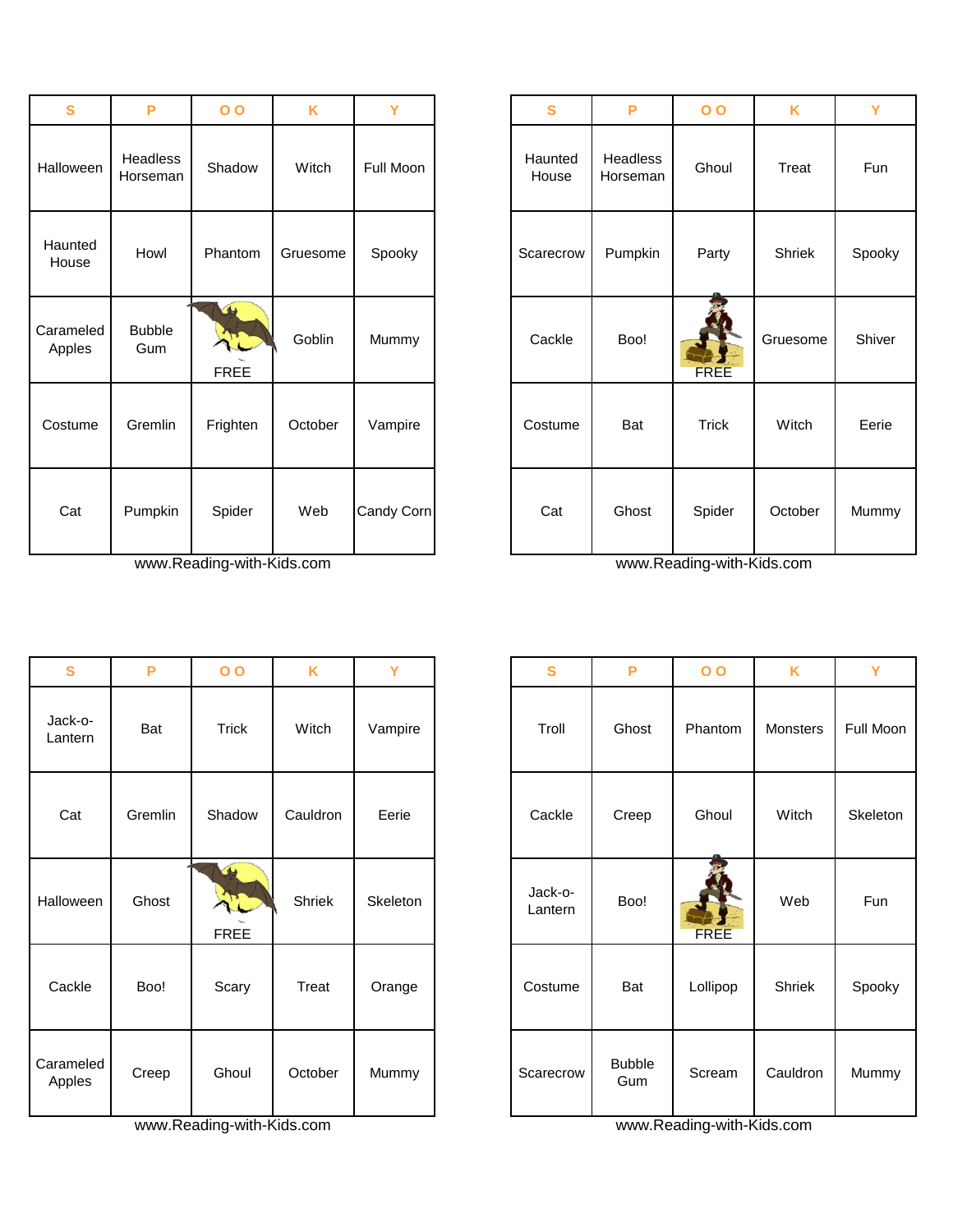| S                   | P                    | $\overline{O}$             | K        | Ÿ          | S                | P                    | $\overline{O}$ | K        | Y     |
|---------------------|----------------------|----------------------------|----------|------------|------------------|----------------------|----------------|----------|-------|
| Halloween           | Headless<br>Horseman | Shadow                     | Witch    | Full Moon  | Haunted<br>House | Headless<br>Horseman | Ghoul          | Treat    | Fun   |
| Haunted<br>House    | Howl                 | Phantom                    | Gruesome | Spooky     | Scarecrow        | Pumpkin              | Party          | Shriek   | Spook |
| Carameled<br>Apples | <b>Bubble</b><br>Gum | $\triangle$<br><b>FREE</b> | Goblin   | Mummy      | Cackle           | Boo!                 | <b>FREE</b>    | Gruesome | Shive |
| Costume             | Gremlin              | Frighten                   | October  | Vampire    | Costume          | Bat                  | <b>Trick</b>   | Witch    | Eerie |
| Cat                 | Pumpkin              | Spider                     | Web      | Candy Corn | Cat              | Ghost                | Spider         | October  | Mumm  |

| S                   | P       | 0 <sub>0</sub>                      | K        | Ÿ        | S                  | P                    |
|---------------------|---------|-------------------------------------|----------|----------|--------------------|----------------------|
| Jack-o-<br>Lantern  | Bat     | Trick                               | Witch    | Vampire  | Troll              | Ghost                |
| Cat                 | Gremlin | Shadow                              | Cauldron | Eerie    | Cackle             | Creep                |
| Halloween           | Ghost   | $\blacktriangleleft$<br><b>FREE</b> | Shriek   | Skeleton | Jack-o-<br>Lantern | Boo!                 |
| Cackle              | Boo!    | Scary                               | Treat    | Orange   | Costume            | Bat                  |
| Carameled<br>Apples | Creep   | Ghoul                               | October  | Mummy    | Scarecrow          | <b>Bubble</b><br>Gum |

www.Reading-with-Kids.com www.Reading-with-Kids.com

| S                  | P                    | 0 <sub>0</sub>                              | K        | Ÿ          | S                | P                    | 0 <sub>0</sub> | K        |  |
|--------------------|----------------------|---------------------------------------------|----------|------------|------------------|----------------------|----------------|----------|--|
| alloween           | Headless<br>Horseman | Shadow                                      | Witch    | Full Moon  | Haunted<br>House | Headless<br>Horseman | Ghoul          | Treat    |  |
| launted<br>House   | Howl                 | Phantom                                     | Gruesome | Spooky     | Scarecrow        | Pumpkin              | Party          | Shriek   |  |
| arameled<br>Apples | <b>Bubble</b><br>Gum | $\rightarrow$<br><b>STAR</b><br><b>FREE</b> | Goblin   | Mummy      | Cackle           | Boo!                 | <b>FREE</b>    | Gruesome |  |
| ostume             | Gremlin              | Frighten                                    | October  | Vampire    | Costume          | Bat                  | <b>Trick</b>   | Witch    |  |
| Cat                | Pumpkin              | Spider                                      | Web      | Candy Corn | Cat              | Ghost                | Spider         | October  |  |

| S                  | P       | $\overline{O}$                    | K        | Y        | S                  | P                    | $\overline{O}$ | K        | Y         |
|--------------------|---------|-----------------------------------|----------|----------|--------------------|----------------------|----------------|----------|-----------|
| Jack-o-<br>Lantern | Bat     | Trick                             | Witch    | Vampire  | Troll              | Ghost                | Phantom        | Monsters | Full Moon |
| Cat                | Gremlin | Shadow                            | Cauldron | Eerie    | Cackle             | Creep                | Ghoul          | Witch    | Skeleton  |
| alloween           | Ghost   | $\triangle$<br>ALL<br><b>FREE</b> | Shriek   | Skeleton | Jack-o-<br>Lantern | Boo!                 | <b>FREE</b>    | Web      | Fun       |
| Cackle             | Boo!    | Scary                             | Treat    | Orange   | Costume            | Bat                  | Lollipop       | Shriek   | Spooky    |
| arameled<br>Apples | Creep   | Ghoul                             | October  | Mummy    | Scarecrow          | <b>Bubble</b><br>Gum | Scream         | Cauldron | Mummy     |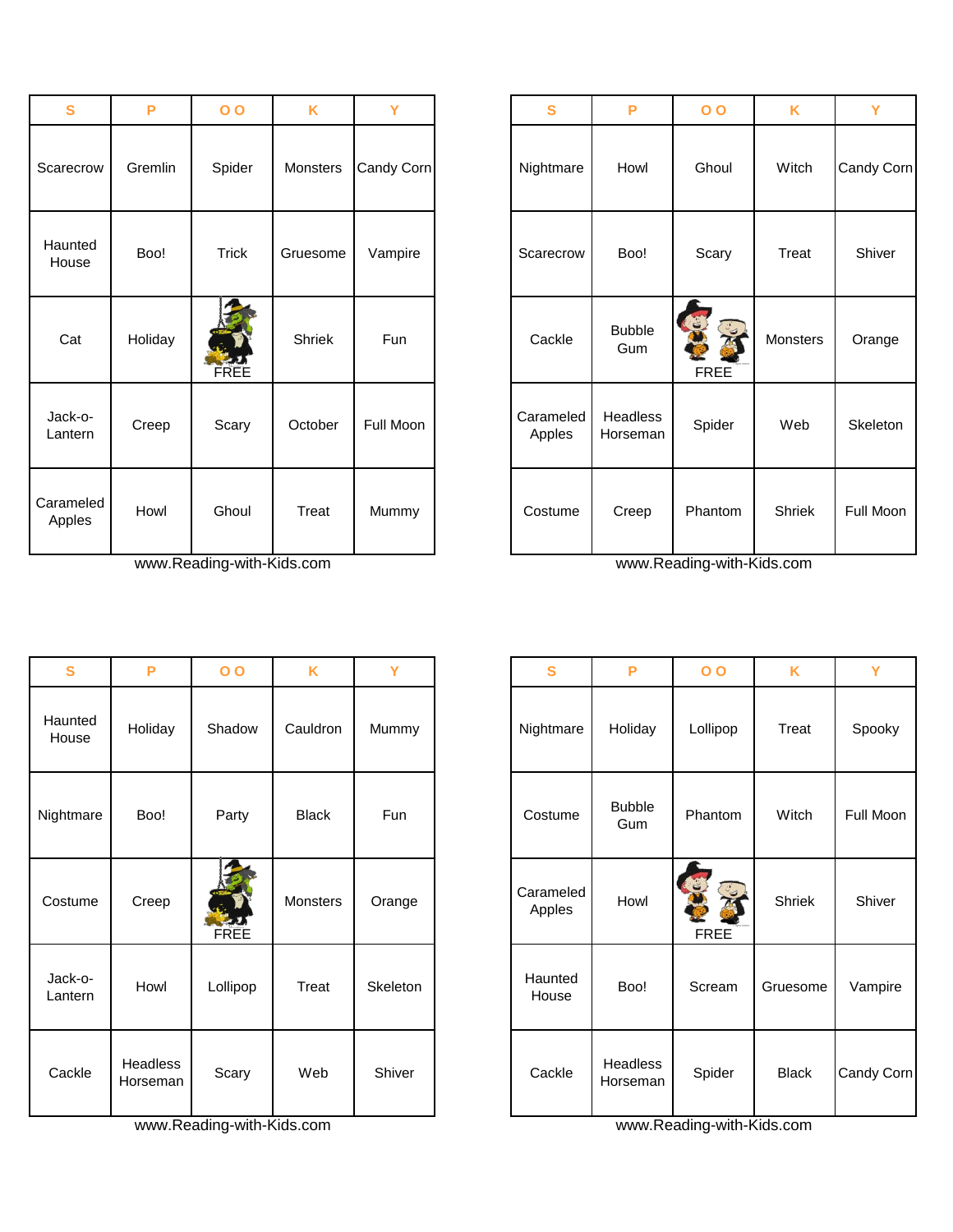| S                   | P       | $\overline{O}$ | K               | Ÿ          | S                   |
|---------------------|---------|----------------|-----------------|------------|---------------------|
| Scarecrow           | Gremlin | Spider         | <b>Monsters</b> | Candy Corn | Nightmare           |
| Haunted<br>House    | Boo!    | <b>Trick</b>   | Gruesome        | Vampire    | Scarecrow           |
| Cat                 | Holiday | FREE           | Shriek          | <b>Fun</b> | Cackle              |
| Jack-o-<br>Lantern  | Creep   | Scary          | October         | Full Moon  | Carameled<br>Apples |
| Carameled<br>Apples | Howl    | Ghoul          | Treat           | Mummy      | Costume             |

| S                  | P                           | 0 <sub>0</sub> | K               | Ÿ          | S                   | P                           |
|--------------------|-----------------------------|----------------|-----------------|------------|---------------------|-----------------------------|
| Haunted<br>House   | Holiday                     | Shadow         | Cauldron        | Mummy      | Nightmare           | Holiday                     |
| Nightmare          | Boo!                        | Party          | <b>Black</b>    | <b>Fun</b> | Costume             | <b>Bubble</b><br>Gum        |
| Costume            | Creep                       | FREE           | <b>Monsters</b> | Orange     | Carameled<br>Apples | Howl                        |
| Jack-o-<br>Lantern | Howl                        | Lollipop       | Treat           | Skeleton   | Haunted<br>House    | Boo!                        |
| Cackle             | <b>Headless</b><br>Horseman | Scary          | Web             | Shiver     | Cackle              | <b>Headless</b><br>Horseman |

www.Reading-with-Kids.com www.Reading-with-Kids.com www.Reading-with-Kids.com

| <b>S</b>            | P       | $\overline{O}$       | K               | Y          | S                   | P                    | $\overline{O}$     | K        |            |
|---------------------|---------|----------------------|-----------------|------------|---------------------|----------------------|--------------------|----------|------------|
| Scarecrow           | Gremlin | Spider               | <b>Monsters</b> | Candy Corn | Nightmare           | Howl                 | Ghoul              | Witch    | Candy Corn |
| Haunted<br>House    | Boo!    | <b>Trick</b>         | Gruesome        | Vampire    | Scarecrow           | Boo!                 | Scary              | Treat    |            |
| Cat                 | Holiday | <b>ENDER</b><br>FREE | Shriek          | Fun        | Cackle              | <b>Bubble</b><br>Gum | EXC<br><b>FREE</b> | Monsters |            |
| Jack-o-<br>Lantern  | Creep   | Scary                | October         | Full Moon  | Carameled<br>Apples | Headless<br>Horseman | Spider             | Web      |            |
| Carameled<br>Apples | Howl    | Ghoul                | Treat           | Mummy      | Costume             | Creep                | Phantom            | Shriek   | Full Moon  |

| S                  | P                    | $\overline{O}$ | K            | Y        | S                   | P                    | $\overline{O}$   | K            | Y          |
|--------------------|----------------------|----------------|--------------|----------|---------------------|----------------------|------------------|--------------|------------|
| launted<br>House   | Holiday              | Shadow         | Cauldron     | Mummy    | Nightmare           | Holiday              | Lollipop         | Treat        | Spooky     |
| ghtmare            | Boo!                 | Party          | <b>Black</b> | Fun      | Costume             | <b>Bubble</b><br>Gum | Phantom          | Witch        | Full Moon  |
| ostume             | Creep                | FREE           | Monsters     | Orange   | Carameled<br>Apples | Howl                 | J<br><b>FREE</b> | Shriek       | Shiver     |
| Jack-o-<br>Lantern | Howl                 | Lollipop       | Treat        | Skeleton | Haunted<br>House    | Boo!                 | Scream           | Gruesome     | Vampire    |
| Cackle             | Headless<br>Horseman | Scary          | Web          | Shiver   | Cackle              | Headless<br>Horseman | Spider           | <b>Black</b> | Candy Corn |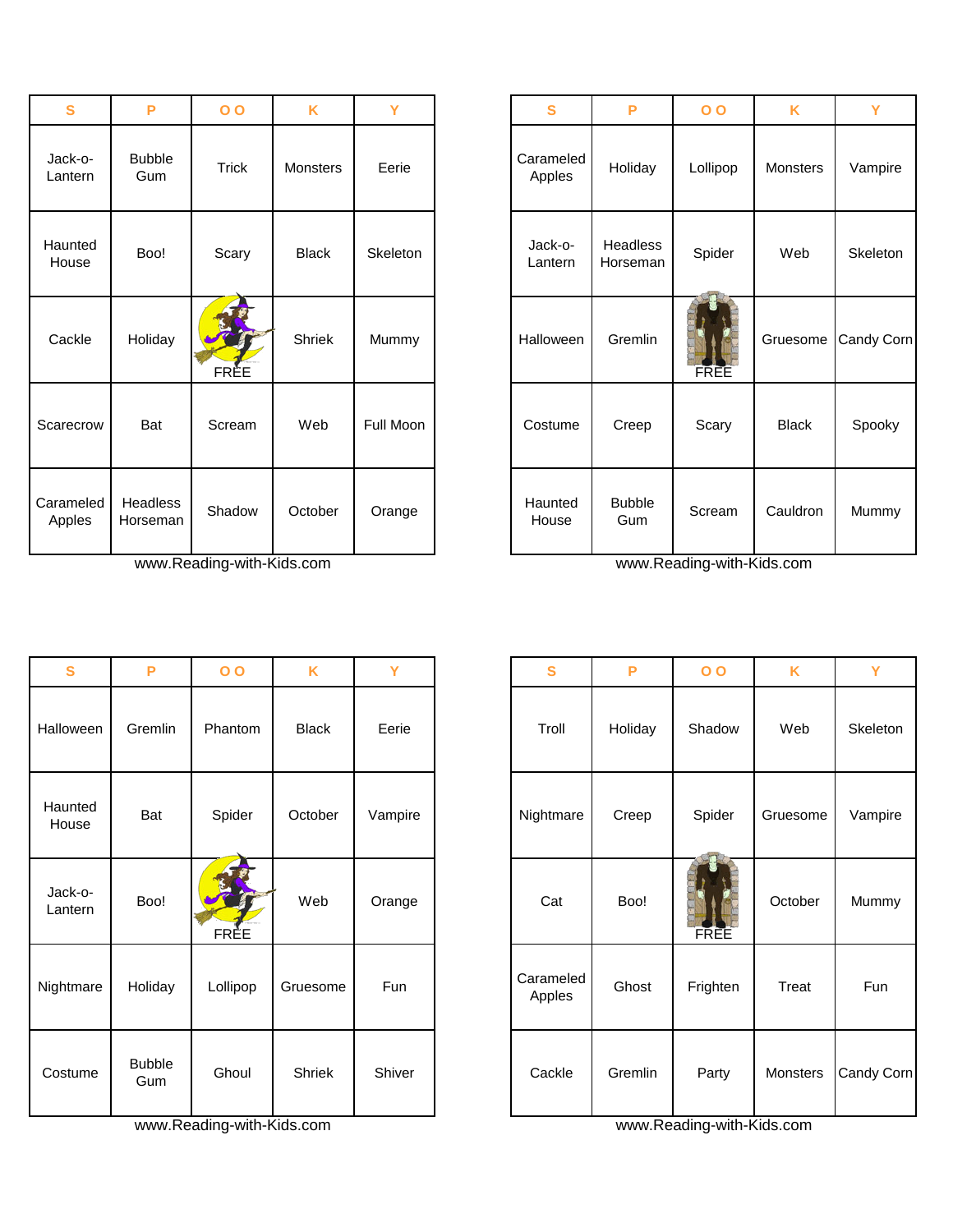| S                   | P                    | $\overline{O}$ | K               | Y         | S                   | P                    | $\overline{O}$ | K            | Y        |
|---------------------|----------------------|----------------|-----------------|-----------|---------------------|----------------------|----------------|--------------|----------|
| Jack-o-<br>Lantern  | <b>Bubble</b><br>Gum | <b>Trick</b>   | <b>Monsters</b> | Eerie     | Carameled<br>Apples | Holiday              | Lollipop       | Monsters     | Vampire  |
| Haunted<br>House    | Boo!                 | Scary          | <b>Black</b>    | Skeleton  | Jack-o-<br>Lantern  | Headless<br>Horseman | Spider         | Web          | Skeletor |
| Cackle              | Holiday              | <b>FRÈE</b>    | Shriek          | Mummy     | Halloween           | Gremlin              | FREE           | Gruesome     | Candy Co |
| Scarecrow           | Bat                  | Scream         | Web             | Full Moon | Costume             | Creep                | Scary          | <b>Black</b> | Spooky   |
| Carameled<br>Apples | Headless<br>Horseman | Shadow         | October         | Orange    | Haunted<br>House    | <b>Bubble</b><br>Gum | Scream         | Cauldron     | Mummy    |

| S                  | P                    | 0 <sub>0</sub> | K             | Y          | S                   | P       | 0 <sub>0</sub> | K        | Y        |
|--------------------|----------------------|----------------|---------------|------------|---------------------|---------|----------------|----------|----------|
| Halloween          | Gremlin              | Phantom        | <b>Black</b>  | Eerie      | Troll               | Holiday | Shadow         | Web      | Skeleton |
| Haunted<br>House   | Bat                  | Spider         | October       | Vampire    | Nightmare           | Creep   | Spider         | Gruesome | Vampire  |
| Jack-o-<br>Lantern | Boo!                 | FRÈE           | Web           | Orange     | Cat                 | Boo!    | FREE           | October  | Mummy    |
| Nightmare          | Holiday              | Lollipop       | Gruesome      | <b>Fun</b> | Carameled<br>Apples | Ghost   | Frighten       | Treat    | Fun      |
| Costume            | <b>Bubble</b><br>Gum | Ghoul          | <b>Shriek</b> | Shiver     | Cackle              | Gremlin | Party          | Monsters | Candy Co |

www.Reading-with-Kids.com www.Reading-with-Kids.com

| S             | P                    | $\overline{O}$ | K            | Y         | S                   | P                    | $\overline{O}$ | K            | Y          |
|---------------|----------------------|----------------|--------------|-----------|---------------------|----------------------|----------------|--------------|------------|
| k-o-<br>าtern | <b>Bubble</b><br>Gum | <b>Trick</b>   | Monsters     | Eerie     | Carameled<br>Apples | Holiday              | Lollipop       | Monsters     | Vampire    |
| ınted<br>use  | Boo!                 | Scary          | <b>Black</b> | Skeleton  | Jack-o-<br>Lantern  | Headless<br>Horseman | Spider         | Web          | Skeleton   |
| ckle          | Holiday              | <b>FRÈE</b>    | Shriek       | Mummy     | Halloween           | Gremlin              | <b>FREE</b>    | Gruesome     | Candy Corn |
| ecrow         | Bat                  | Scream         | Web          | Full Moon | Costume             | Creep                | Scary          | <b>Black</b> | Spooky     |
| meled<br>ples | Headless<br>Horseman | Shadow         | October      | Orange    | Haunted<br>House    | <b>Bubble</b><br>Gum | Scream         | Cauldron     | Mummy      |

| S                  | P                    | $\overline{O}$ | K            | Y       | S                   | P       | 0 <sub>0</sub> | K        | Y          |
|--------------------|----------------------|----------------|--------------|---------|---------------------|---------|----------------|----------|------------|
| alloween           | Gremlin              | Phantom        | <b>Black</b> | Eerie   | Troll               | Holiday | Shadow         | Web      | Skeleton   |
| launted<br>House   | Bat                  | Spider         | October      | Vampire | Nightmare           | Creep   | Spider         | Gruesome | Vampire    |
| Jack-o-<br>Lantern | Boo!                 | FRÈE           | Web          | Orange  | Cat                 | Boo!    | FREE           | October  | Mummy      |
| ghtmare            | Holiday              | Lollipop       | Gruesome     | Fun     | Carameled<br>Apples | Ghost   | Frighten       | Treat    | Fun        |
| ostume             | <b>Bubble</b><br>Gum | Ghoul          | Shriek       | Shiver  | Cackle              | Gremlin | Party          | Monsters | Candy Corn |